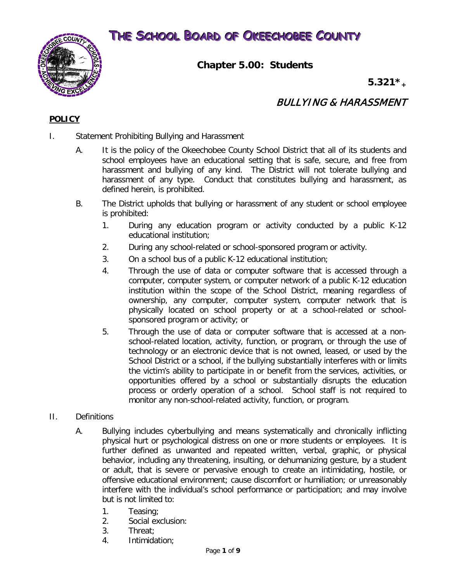## **THE SCHOOL BOARD OF OKEECHOBEE COUNTY**



**Chapter 5.00: Students**

**5.321\*+**

## BULLYING & HARASSMENT

## **POLICY**

- I. Statement Prohibiting Bullying and Harassment
	- A. It is the policy of the Okeechobee County School District that all of its students and school employees have an educational setting that is safe, secure, and free from harassment and bullying of any kind. The District will not tolerate bullying and harassment of any type. Conduct that constitutes bullying and harassment, as defined herein, is prohibited.
	- B. The District upholds that bullying or harassment of any student or school employee is prohibited:
		- 1. During any education program or activity conducted by a public K-12 educational institution;
		- 2. During any school-related or school-sponsored program or activity.
		- 3. On a school bus of a public K-12 educational institution;
		- 4. Through the use of data or computer software that is accessed through a computer, computer system, or computer network of a public K-12 education institution within the scope of the School District, meaning regardless of ownership, any computer, computer system, computer network that is physically located on school property or at a school-related or schoolsponsored program or activity; or
		- 5. Through the use of data or computer software that is accessed at a nonschool-related location, activity, function, or program, or through the use of technology or an electronic device that is not owned, leased, or used by the School District or a school, if the bullying substantially interferes with or limits the victim's ability to participate in or benefit from the services, activities, or opportunities offered by a school or substantially disrupts the education process or orderly operation of a school. School staff is not required to monitor any non-school-related activity, function, or program.
- II. Definitions
	- A. Bullying includes cyberbullying and means systematically and chronically inflicting physical hurt or psychological distress on one or more students or employees. It is further defined as unwanted and repeated written, verbal, graphic, or physical behavior, including any threatening, insulting, or dehumanizing gesture, by a student or adult, that is severe or pervasive enough to create an intimidating, hostile, or offensive educational environment; cause discomfort or humiliation; or unreasonably interfere with the individual's school performance or participation; and may involve but is not limited to:
		- 1. Teasing;
		- 2. Social exclusion:
		- 3. Threat;
		- 4. Intimidation;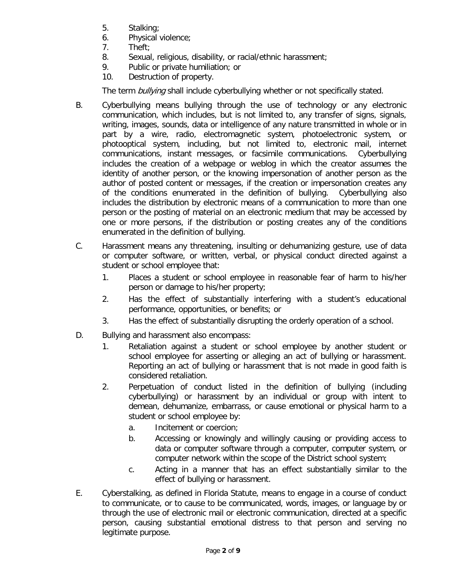- 5. Stalking;
- 6. Physical violence;
- 7. Theft;
- 8. Sexual, religious, disability, or racial/ethnic harassment;
- 9. Public or private humiliation; or
- 10. Destruction of property.

The term bullying shall include cyberbullying whether or not specifically stated.

- B. Cyberbullying means bullying through the use of technology or any electronic communication, which includes, but is not limited to, any transfer of signs, signals, writing, images, sounds, data or intelligence of any nature transmitted in whole or in part by a wire, radio, electromagnetic system, photoelectronic system, or photooptical system, including, but not limited to, electronic mail, internet communications, instant messages, or facsimile communications. Cyberbullying includes the creation of a webpage or weblog in which the creator assumes the identity of another person, or the knowing impersonation of another person as the author of posted content or messages, if the creation or impersonation creates any of the conditions enumerated in the definition of bullying. Cyberbullying also includes the distribution by electronic means of a communication to more than one person or the posting of material on an electronic medium that may be accessed by one or more persons, if the distribution or posting creates any of the conditions enumerated in the definition of bullying.
- C. Harassment means any threatening, insulting or dehumanizing gesture, use of data or computer software, or written, verbal, or physical conduct directed against a student or school employee that:
	- 1. Places a student or school employee in reasonable fear of harm to his/her person or damage to his/her property;
	- 2. Has the effect of substantially interfering with a student's educational performance, opportunities, or benefits; or
	- 3. Has the effect of substantially disrupting the orderly operation of a school.
- D. Bullying and harassment also encompass:
	- 1. Retaliation against a student or school employee by another student or school employee for asserting or alleging an act of bullying or harassment. Reporting an act of bullying or harassment that is not made in good faith is considered retaliation.
	- 2. Perpetuation of conduct listed in the definition of bullying (including cyberbullying) or harassment by an individual or group with intent to demean, dehumanize, embarrass, or cause emotional or physical harm to a student or school employee by:
		- a. Incitement or coercion;
		- b. Accessing or knowingly and willingly causing or providing access to data or computer software through a computer, computer system, or computer network within the scope of the District school system;
		- c. Acting in a manner that has an effect substantially similar to the effect of bullying or harassment.
- E. Cyberstalking, as defined in Florida Statute, means to engage in a course of conduct to communicate, or to cause to be communicated, words, images, or language by or through the use of electronic mail or electronic communication, directed at a specific person, causing substantial emotional distress to that person and serving no legitimate purpose.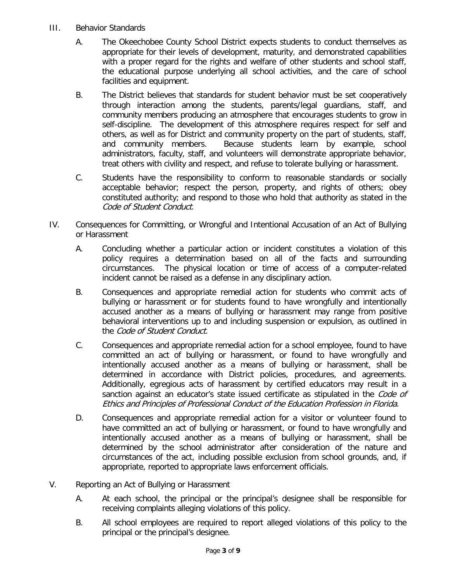- III. Behavior Standards
	- A. The Okeechobee County School District expects students to conduct themselves as appropriate for their levels of development, maturity, and demonstrated capabilities with a proper regard for the rights and welfare of other students and school staff, the educational purpose underlying all school activities, and the care of school facilities and equipment.
	- B. The District believes that standards for student behavior must be set cooperatively through interaction among the students, parents/legal guardians, staff, and community members producing an atmosphere that encourages students to grow in self-discipline. The development of this atmosphere requires respect for self and others, as well as for District and community property on the part of students, staff, and community members. Because students learn by example, school administrators, faculty, staff, and volunteers will demonstrate appropriate behavior, treat others with civility and respect, and refuse to tolerate bullying or harassment.
	- C. Students have the responsibility to conform to reasonable standards or socially acceptable behavior; respect the person, property, and rights of others; obey constituted authority; and respond to those who hold that authority as stated in the Code of Student Conduct.
- IV. Consequences for Committing, or Wrongful and Intentional Accusation of an Act of Bullying or Harassment
	- A. Concluding whether a particular action or incident constitutes a violation of this policy requires a determination based on all of the facts and surrounding circumstances. The physical location or time of access of a computer-related incident cannot be raised as a defense in any disciplinary action.
	- B. Consequences and appropriate remedial action for students who commit acts of bullying or harassment or for students found to have wrongfully and intentionally accused another as a means of bullying or harassment may range from positive behavioral interventions up to and including suspension or expulsion, as outlined in the Code of Student Conduct.
	- C. Consequences and appropriate remedial action for a school employee, found to have committed an act of bullying or harassment, or found to have wrongfully and intentionally accused another as a means of bullying or harassment, shall be determined in accordance with District policies, procedures, and agreements. Additionally, egregious acts of harassment by certified educators may result in a sanction against an educator's state issued certificate as stipulated in the *Code of* Ethics and Principles of Professional Conduct of the Education Profession in Florida.
	- D. Consequences and appropriate remedial action for a visitor or volunteer found to have committed an act of bullying or harassment, or found to have wrongfully and intentionally accused another as a means of bullying or harassment, shall be determined by the school administrator after consideration of the nature and circumstances of the act, including possible exclusion from school grounds, and, if appropriate, reported to appropriate laws enforcement officials.
- V. Reporting an Act of Bullying or Harassment
	- A. At each school, the principal or the principal's designee shall be responsible for receiving complaints alleging violations of this policy.
	- B. All school employees are required to report alleged violations of this policy to the principal or the principal's designee.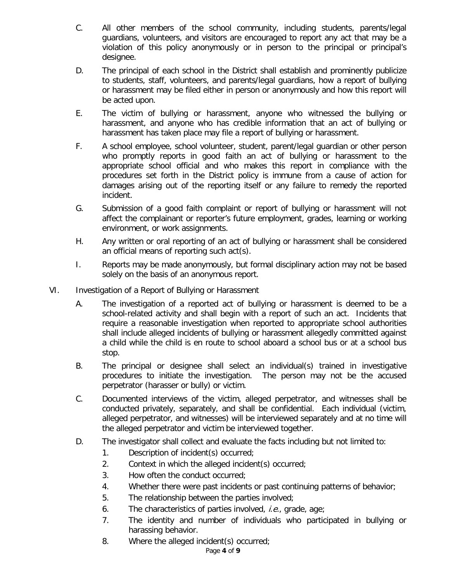- C. All other members of the school community, including students, parents/legal guardians, volunteers, and visitors are encouraged to report any act that may be a violation of this policy anonymously or in person to the principal or principal's designee.
- D. The principal of each school in the District shall establish and prominently publicize to students, staff, volunteers, and parents/legal guardians, how a report of bullying or harassment may be filed either in person or anonymously and how this report will be acted upon.
- E. The victim of bullying or harassment, anyone who witnessed the bullying or harassment, and anyone who has credible information that an act of bullying or harassment has taken place may file a report of bullying or harassment.
- F. A school employee, school volunteer, student, parent/legal guardian or other person who promptly reports in good faith an act of bullying or harassment to the appropriate school official and who makes this report in compliance with the procedures set forth in the District policy is immune from a cause of action for damages arising out of the reporting itself or any failure to remedy the reported incident.
- G. Submission of a good faith complaint or report of bullying or harassment will not affect the complainant or reporter's future employment, grades, learning or working environment, or work assignments.
- H. Any written or oral reporting of an act of bullying or harassment shall be considered an official means of reporting such act(s).
- I. Reports may be made anonymously, but formal disciplinary action may not be based solely on the basis of an anonymous report.
- VI. Investigation of a Report of Bullying or Harassment
	- A. The investigation of a reported act of bullying or harassment is deemed to be a school-related activity and shall begin with a report of such an act. Incidents that require a reasonable investigation when reported to appropriate school authorities shall include alleged incidents of bullying or harassment allegedly committed against a child while the child is en route to school aboard a school bus or at a school bus stop.
	- B. The principal or designee shall select an individual(s) trained in investigative procedures to initiate the investigation. The person may not be the accused perpetrator (harasser or bully) or victim.
	- C. Documented interviews of the victim, alleged perpetrator, and witnesses shall be conducted privately, separately, and shall be confidential. Each individual (victim, alleged perpetrator, and witnesses) will be interviewed separately and at no time will the alleged perpetrator and victim be interviewed together.
	- D. The investigator shall collect and evaluate the facts including but not limited to:
		- 1. Description of incident(s) occurred;
		- 2. Context in which the alleged incident(s) occurred;
		- 3. How often the conduct occurred;
		- 4. Whether there were past incidents or past continuing patterns of behavior;
		- 5. The relationship between the parties involved;
		- 6. The characteristics of parties involved, *i.e.*, grade, age;
		- 7. The identity and number of individuals who participated in bullying or harassing behavior.
		- 8. Where the alleged incident(s) occurred;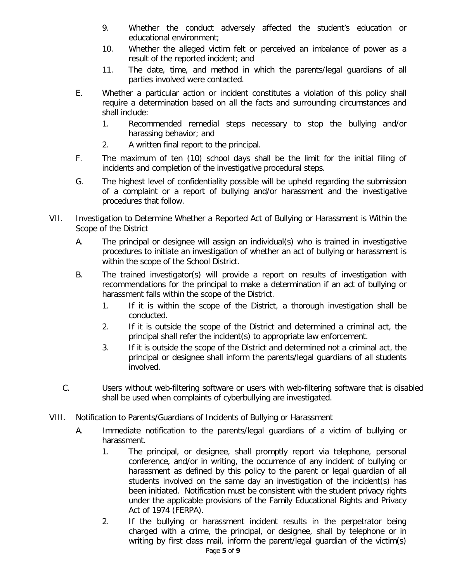- 9. Whether the conduct adversely affected the student's education or educational environment;
- 10. Whether the alleged victim felt or perceived an imbalance of power as a result of the reported incident; and
- 11. The date, time, and method in which the parents/legal guardians of all parties involved were contacted.
- E. Whether a particular action or incident constitutes a violation of this policy shall require a determination based on all the facts and surrounding circumstances and shall include:
	- 1. Recommended remedial steps necessary to stop the bullying and/or harassing behavior; and
	- 2. A written final report to the principal.
- F. The maximum of ten (10) school days shall be the limit for the initial filing of incidents and completion of the investigative procedural steps.
- G. The highest level of confidentiality possible will be upheld regarding the submission of a complaint or a report of bullying and/or harassment and the investigative procedures that follow.
- VII. Investigation to Determine Whether a Reported Act of Bullying or Harassment is Within the Scope of the District
	- A. The principal or designee will assign an individual(s) who is trained in investigative procedures to initiate an investigation of whether an act of bullying or harassment is within the scope of the School District.
	- B. The trained investigator(s) will provide a report on results of investigation with recommendations for the principal to make a determination if an act of bullying or harassment falls within the scope of the District.
		- 1. If it is within the scope of the District, a thorough investigation shall be conducted.
		- 2. If it is outside the scope of the District and determined a criminal act, the principal shall refer the incident(s) to appropriate law enforcement.
		- 3. If it is outside the scope of the District and determined not a criminal act, the principal or designee shall inform the parents/legal guardians of all students involved.
	- C. Users without web-filtering software or users with web-filtering software that is disabled shall be used when complaints of cyberbullying are investigated.
- VIII. Notification to Parents/Guardians of Incidents of Bullying or Harassment
	- A. Immediate notification to the parents/legal guardians of a victim of bullying or harassment.
		- 1. The principal, or designee, shall promptly report via telephone, personal conference, and/or in writing, the occurrence of any incident of bullying or harassment as defined by this policy to the parent or legal guardian of all students involved on the same day an investigation of the incident(s) has been initiated. Notification must be consistent with the student privacy rights under the applicable provisions of the Family Educational Rights and Privacy Act of 1974 (FERPA).
		- 2. If the bullying or harassment incident results in the perpetrator being charged with a crime, the principal, or designee, shall by telephone or in writing by first class mail, inform the parent/legal guardian of the victim(s)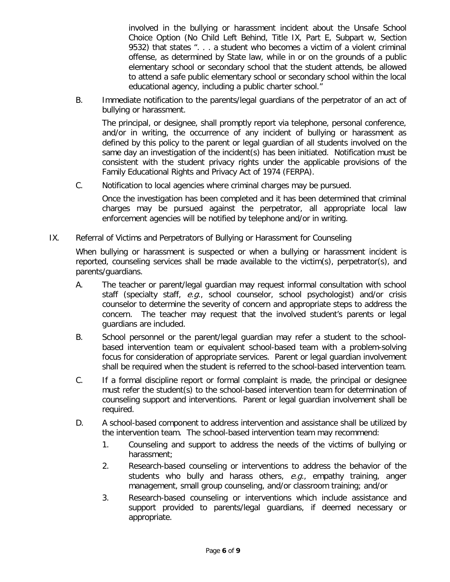involved in the bullying or harassment incident about the Unsafe School Choice Option (No Child Left Behind, Title IX, Part E, Subpart w, Section 9532) that states ". . . a student who becomes a victim of a violent criminal offense, as determined by State law, while in or on the grounds of a public elementary school or secondary school that the student attends, be allowed to attend a safe public elementary school or secondary school within the local educational agency, including a public charter school."

B. Immediate notification to the parents/legal guardians of the perpetrator of an act of bullying or harassment.

The principal, or designee, shall promptly report via telephone, personal conference, and/or in writing, the occurrence of any incident of bullying or harassment as defined by this policy to the parent or legal guardian of all students involved on the same day an investigation of the incident(s) has been initiated. Notification must be consistent with the student privacy rights under the applicable provisions of the Family Educational Rights and Privacy Act of 1974 (FERPA).

C. Notification to local agencies where criminal charges may be pursued.

Once the investigation has been completed and it has been determined that criminal charges may be pursued against the perpetrator, all appropriate local law enforcement agencies will be notified by telephone and/or in writing.

IX. Referral of Victims and Perpetrators of Bullying or Harassment for Counseling

When bullying or harassment is suspected or when a bullying or harassment incident is reported, counseling services shall be made available to the victim(s), perpetrator(s), and parents/guardians.

- A. The teacher or parent/legal guardian may request informal consultation with school staff (specialty staff,  $e.g.,$  school counselor, school psychologist) and/or crisis counselor to determine the severity of concern and appropriate steps to address the concern. The teacher may request that the involved student's parents or legal guardians are included.
- B. School personnel or the parent/legal guardian may refer a student to the schoolbased intervention team or equivalent school-based team with a problem-solving focus for consideration of appropriate services. Parent or legal guardian involvement shall be required when the student is referred to the school-based intervention team.
- C. If a formal discipline report or formal complaint is made, the principal or designee must refer the student(s) to the school-based intervention team for determination of counseling support and interventions. Parent or legal guardian involvement shall be required.
- D. A school-based component to address intervention and assistance shall be utilized by the intervention team. The school-based intervention team may recommend:
	- 1. Counseling and support to address the needs of the victims of bullying or harassment;
	- 2. Research-based counseling or interventions to address the behavior of the students who bully and harass others,  $e.g.,$  empathy training, anger management, small group counseling, and/or classroom training; and/or
	- 3. Research-based counseling or interventions which include assistance and support provided to parents/legal guardians, if deemed necessary or appropriate.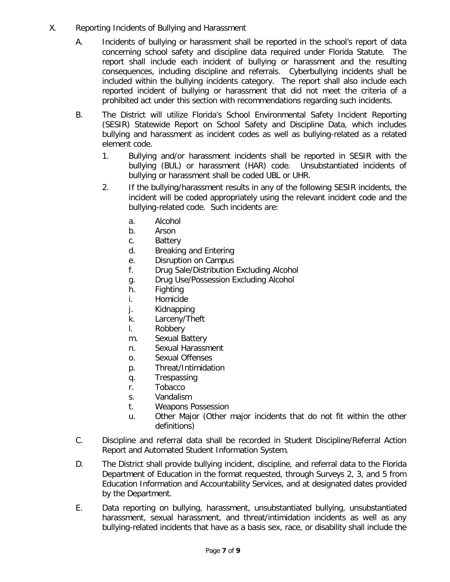- X. Reporting Incidents of Bullying and Harassment
	- A. Incidents of bullying or harassment shall be reported in the school's report of data concerning school safety and discipline data required under Florida Statute. The report shall include each incident of bullying or harassment and the resulting consequences, including discipline and referrals. Cyberbullying incidents shall be included within the bullying incidents category. The report shall also include each reported incident of bullying or harassment that did not meet the criteria of a prohibited act under this section with recommendations regarding such incidents.
	- B. The District will utilize Florida's School Environmental Safety Incident Reporting (SESIR) Statewide Report on School Safety and Discipline Data, which includes bullying and harassment as incident codes as well as bullying-related as a related element code.
		- 1. Bullying and/or harassment incidents shall be reported in SESIR with the bullying (BUL) or harassment (HAR) code. Unsubstantiated incidents of bullying or harassment shall be coded UBL or UHR.
		- 2. If the bullying/harassment results in any of the following SESIR incidents, the incident will be coded appropriately using the relevant incident code and the bullying-related code. Such incidents are:
			- a. Alcohol
			- b. Arson
			- c. Battery
			- d. Breaking and Entering
			- e. Disruption on Campus
			- f. Drug Sale/Distribution Excluding Alcohol
			- g. Drug Use/Possession Excluding Alcohol
			- h. Fighting
			- i. Homicide
			- j. Kidnapping
			- k. Larceny/Theft
			- l. Robbery
			- m. Sexual Battery
			- n. Sexual Harassment
			- o. Sexual Offenses
			- p. Threat/Intimidation
			- q. Trespassing
			- r. Tobacco
			- s. Vandalism
			- t. Weapons Possession
			- u. Other Major (Other major incidents that do not fit within the other definitions)
	- C. Discipline and referral data shall be recorded in Student Discipline/Referral Action Report and Automated Student Information System.
	- D. The District shall provide bullying incident, discipline, and referral data to the Florida Department of Education in the format requested, through Surveys 2, 3, and 5 from Education Information and Accountability Services, and at designated dates provided by the Department.
	- E. Data reporting on bullying, harassment, unsubstantiated bullying, unsubstantiated harassment, sexual harassment, and threat/intimidation incidents as well as any bullying-related incidents that have as a basis sex, race, or disability shall include the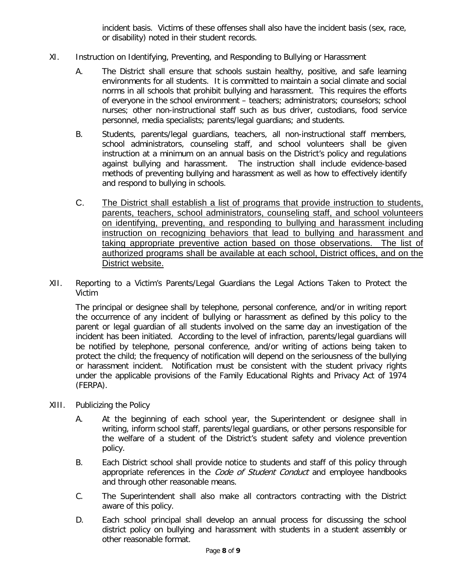incident basis. Victims of these offenses shall also have the incident basis (sex, race, or disability) noted in their student records.

- XI. Instruction on Identifying, Preventing, and Responding to Bullying or Harassment
	- A. The District shall ensure that schools sustain healthy, positive, and safe learning environments for all students. It is committed to maintain a social climate and social norms in all schools that prohibit bullying and harassment. This requires the efforts of everyone in the school environment – teachers; administrators; counselors; school nurses; other non-instructional staff such as bus driver, custodians, food service personnel, media specialists; parents/legal guardians; and students.
	- B. Students, parents/legal guardians, teachers, all non-instructional staff members, school administrators, counseling staff, and school volunteers shall be given instruction at a minimum on an annual basis on the District's policy and regulations against bullying and harassment. The instruction shall include evidence-based methods of preventing bullying and harassment as well as how to effectively identify and respond to bullying in schools.
	- C. The District shall establish a list of programs that provide instruction to students, parents, teachers, school administrators, counseling staff, and school volunteers on identifying, preventing, and responding to bullying and harassment including instruction on recognizing behaviors that lead to bullying and harassment and taking appropriate preventive action based on those observations. The list of authorized programs shall be available at each school, District offices, and on the District website.
- XII. Reporting to a Victim's Parents/Legal Guardians the Legal Actions Taken to Protect the Victim

The principal or designee shall by telephone, personal conference, and/or in writing report the occurrence of any incident of bullying or harassment as defined by this policy to the parent or legal guardian of all students involved on the same day an investigation of the incident has been initiated. According to the level of infraction, parents/legal guardians will be notified by telephone, personal conference, and/or writing of actions being taken to protect the child; the frequency of notification will depend on the seriousness of the bullying or harassment incident. Notification must be consistent with the student privacy rights under the applicable provisions of the Family Educational Rights and Privacy Act of 1974 (FERPA).

- XIII. Publicizing the Policy
	- A. At the beginning of each school year, the Superintendent or designee shall in writing, inform school staff, parents/legal guardians, or other persons responsible for the welfare of a student of the District's student safety and violence prevention policy.
	- B. Each District school shall provide notice to students and staff of this policy through appropriate references in the Code of Student Conduct and employee handbooks and through other reasonable means.
	- C. The Superintendent shall also make all contractors contracting with the District aware of this policy.
	- D. Each school principal shall develop an annual process for discussing the school district policy on bullying and harassment with students in a student assembly or other reasonable format.